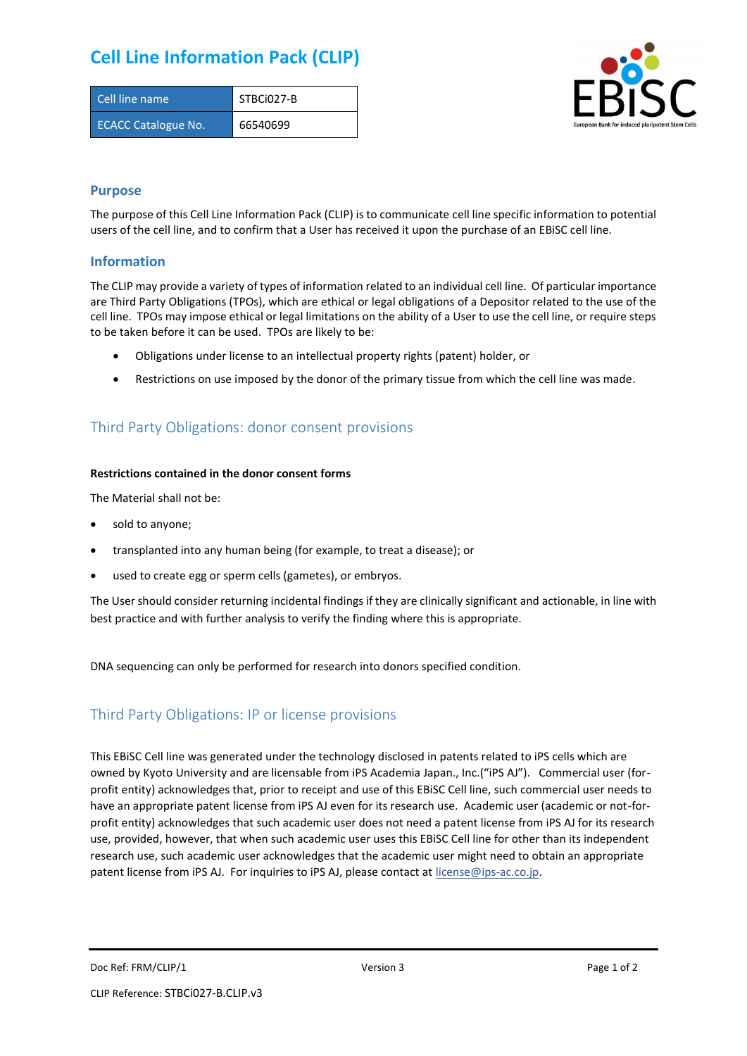## **Cell Line Information Pack (CLIP)**

| Cell line name             | STBCi027-B |
|----------------------------|------------|
| <b>ECACC Catalogue No.</b> | 66540699   |



### **Purpose**

The purpose of this Cell Line Information Pack (CLIP) is to communicate cell line specific information to potential users of the cell line, and to confirm that a User has received it upon the purchase of an EBiSC cell line.

### **Information**

The CLIP may provide a variety of types of information related to an individual cell line. Of particular importance are Third Party Obligations (TPOs), which are ethical or legal obligations of a Depositor related to the use of the cell line. TPOs may impose ethical or legal limitations on the ability of a User to use the cell line, or require steps to be taken before it can be used. TPOs are likely to be:

- Obligations under license to an intellectual property rights (patent) holder, or
- Restrictions on use imposed by the donor of the primary tissue from which the cell line was made.

## Third Party Obligations: donor consent provisions

#### **Restrictions contained in the donor consent forms**

The Material shall not be:

- sold to anyone;
- transplanted into any human being (for example, to treat a disease); or
- used to create egg or sperm cells (gametes), or embryos.

The User should consider returning incidental findings if they are clinically significant and actionable, in line with best practice and with further analysis to verify the finding where this is appropriate.

DNA sequencing can only be performed for research into donors specified condition.

## Third Party Obligations: IP or license provisions

This EBiSC Cell line was generated under the technology disclosed in patents related to iPS cells which are owned by Kyoto University and are licensable from iPS Academia Japan., Inc.("iPS AJ"). Commercial user (forprofit entity) acknowledges that, prior to receipt and use of this EBiSC Cell line, such commercial user needs to have an appropriate patent license from iPS AJ even for its research use. Academic user (academic or not-forprofit entity) acknowledges that such academic user does not need a patent license from iPS AJ for its research use, provided, however, that when such academic user uses this EBiSC Cell line for other than its independent research use, such academic user acknowledges that the academic user might need to obtain an appropriate patent license from iPS AJ. For inquiries to iPS AJ, please contact at [license@ips-ac.co.jp.](mailto:license@ips-ac.co.jp)

Doc Ref: FRM/CLIP/1 **Doces 2** Page 1 of 2 Page 1 of 2